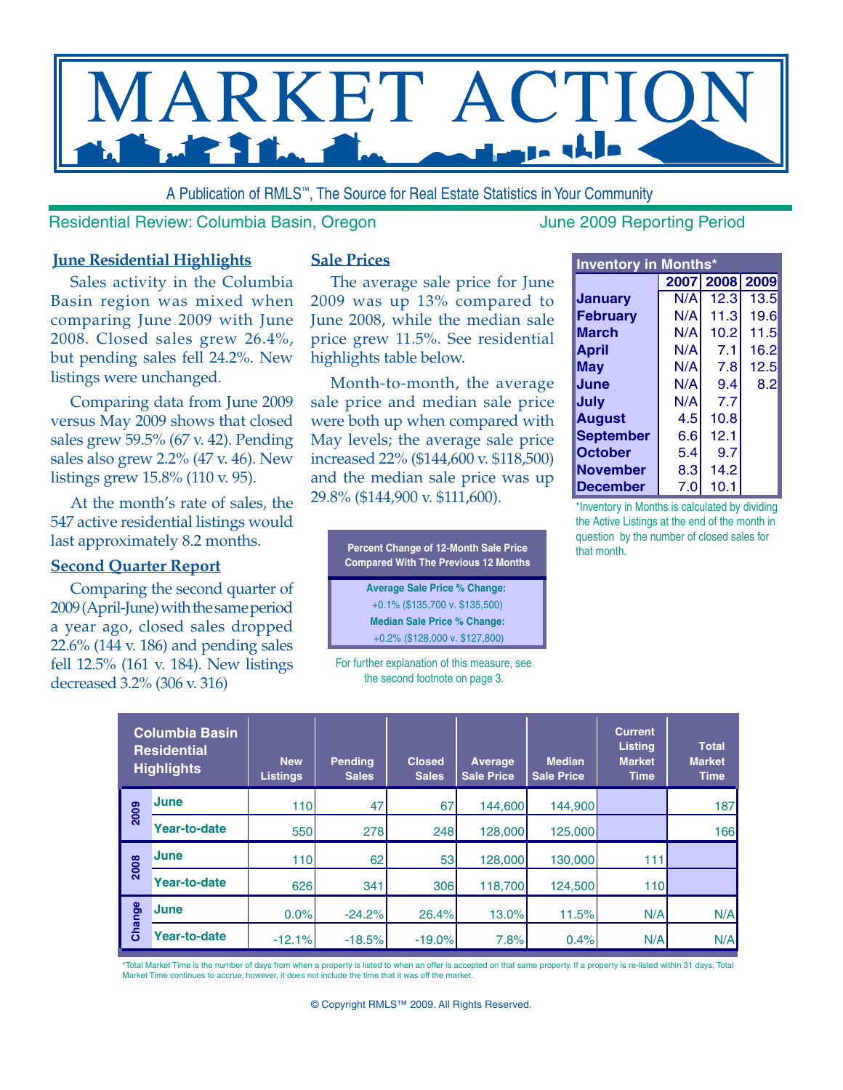

A Publication of RMLS™, The Source for Real Estate Statistics in Your Community

Residential Review: Columbia Basin, Oregon June 2009 Reporting Period

#### **June Residential Highlights**

Sales activity in the Columbia Basin region was mixed when comparing June 2009 with June 2008. Closed sales grew 26.4%, but pending sales fell 24.2%. New listings were unchanged.

Comparing data from June 2009 versus May 2009 shows that closed sales grew 59.5% (67 v. 42). Pending sales also grew 2.2% (47 v. 46). New listings grew 15.8% (110 v. 95).

At the month's rate of sales, the 547 active residential listings would last approximately 8.2 months.

### **Second Quarter Report**

Comparing the second quarter of 2009 (April-June) with the same period a year ago, closed sales dropped 22.6% (144 v. 186) and pending sales fell 12.5% (161 v. 184). New listings decreased 3.2% (306 v. 316)

#### **Sale Prices**

The average sale price for June 2009 was up 13% compared to June 2008, while the median sale price grew 11.5%. See residential highlights table below.

Month-to-month, the average sale price and median sale price were both up when compared with May levels; the average sale price increased 22% (\$144,600 v. \$118,500) and the median sale price was up 29.8% (\$144,900 v. \$111,600).

> **Percent Change of 12-Month Sale Price Compared With The Previous 12 Months**

> > **Average Sale Price % Change:**  +0.1% (\$135,700 v. \$135,500) **Median Sale Price % Change:** +0.2% (\$128,000 v. \$127,800)

For further explanation of this measure, see the second footnote on page 3.

|                  | <b>Inventory in Months*</b> |                |      |  |  |  |  |  |  |  |  |  |  |  |
|------------------|-----------------------------|----------------|------|--|--|--|--|--|--|--|--|--|--|--|
|                  |                             | 2007 2008 2009 |      |  |  |  |  |  |  |  |  |  |  |  |
| Januarv          | N/A                         | 12.3           | 13.5 |  |  |  |  |  |  |  |  |  |  |  |
| <b>February</b>  | N/A                         | 11.3           | 19.6 |  |  |  |  |  |  |  |  |  |  |  |
| <b>March</b>     | N/A                         | 10.2           | 11.5 |  |  |  |  |  |  |  |  |  |  |  |
| April            | N/A                         | 7.1            | 16.2 |  |  |  |  |  |  |  |  |  |  |  |
| May              | N/A                         | 7.8            | 12.5 |  |  |  |  |  |  |  |  |  |  |  |
| June             | N/A                         | 9.4            | 8.2  |  |  |  |  |  |  |  |  |  |  |  |
| July             | N/A                         | 7.7            |      |  |  |  |  |  |  |  |  |  |  |  |
| <b>August</b>    | 4.5                         | 10.8           |      |  |  |  |  |  |  |  |  |  |  |  |
| <b>September</b> | 6.6                         | 12.1           |      |  |  |  |  |  |  |  |  |  |  |  |
| <b>October</b>   | 5.4                         | 9.7            |      |  |  |  |  |  |  |  |  |  |  |  |
| <b>November</b>  | 8.3                         | 14.2           |      |  |  |  |  |  |  |  |  |  |  |  |
| <b>December</b>  | 7.0                         | 10.1           |      |  |  |  |  |  |  |  |  |  |  |  |

\*Inventory in Months is calculated by dividing the Active Listings at the end of the month in question by the number of closed sales for that month.

|        | <b>Columbia Basin</b><br><b>Residential</b><br><b>Highlights</b> | <b>New</b><br>Listings | <b>Pending</b><br><b>Sales</b> | <b>Closed</b><br><b>Sales</b> | <b>Average</b><br><b>Sale Price</b> | <b>Median</b><br><b>Sale Price</b> | <b>Current</b><br><b>Listing</b><br><b>Market</b><br><b>Time</b> | <b>Total</b><br><b>Market</b><br><b>Time</b> |
|--------|------------------------------------------------------------------|------------------------|--------------------------------|-------------------------------|-------------------------------------|------------------------------------|------------------------------------------------------------------|----------------------------------------------|
| 2009   | June                                                             | 110                    | 47                             | 67                            | 144,600                             | 144.900                            |                                                                  | 187                                          |
|        | <b>Year-to-date</b>                                              | 550                    | 278                            | 248                           | 128,000                             | 125,000                            |                                                                  | 166                                          |
| 2008   | June                                                             | 110                    | 62                             | 53                            | 128,000                             | 130,000                            | 111                                                              |                                              |
|        | <b>Year-to-date</b>                                              | 626                    | 341                            | 306                           | 118,700                             | 124,500                            | 110                                                              |                                              |
| Change | June                                                             | 0.0%                   | $-24.2%$                       | 26.4%                         | 13.0%                               | 11.5%                              | N/A                                                              | N/A                                          |
|        | <b>Year-to-date</b>                                              | $-12.1%$               | $-18.5%$                       | $-19.0%$                      | 7.8%                                | 0.4%                               | N/A                                                              | N/A                                          |

\*Total Market Time is the number of days from when a property is listed to when an offer is accepted on that same property. If a property is re-listed within 31 days, Total Market Time continues to accrue; however, it does not include the time that it was off the market.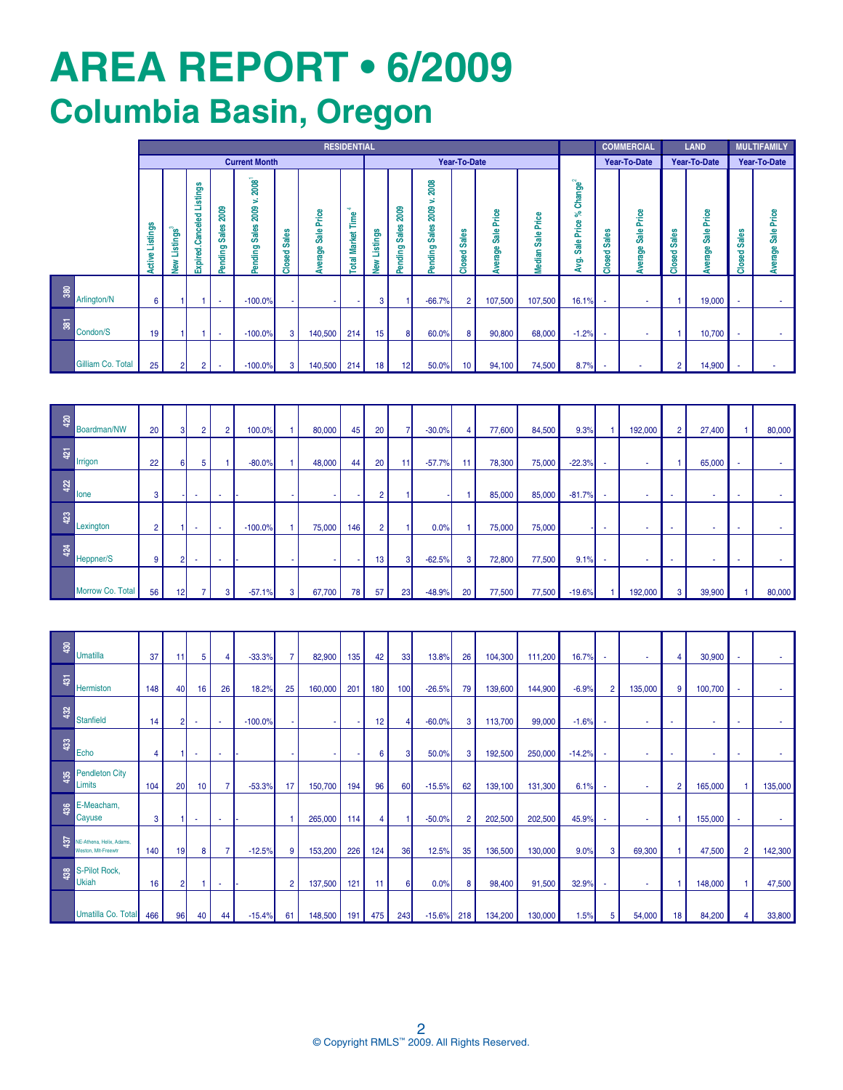# **AREa REPORT • 6/2009 Columbia Basin, Oregon**

|                         |                   |                           | <b>RESIDENTIAL</b>             |                                         |                                   |                                                                      |                                  |                                       |                                          |                 |                                |                                                  |                            |                                         |                           |                                                          |                                   | <b>COMMERCIAL</b>                      |                           | <b>LAND</b>                      | <b>MULTIFAMILY</b>            |                       |
|-------------------------|-------------------|---------------------------|--------------------------------|-----------------------------------------|-----------------------------------|----------------------------------------------------------------------|----------------------------------|---------------------------------------|------------------------------------------|-----------------|--------------------------------|--------------------------------------------------|----------------------------|-----------------------------------------|---------------------------|----------------------------------------------------------|-----------------------------------|----------------------------------------|---------------------------|----------------------------------|-------------------------------|-----------------------|
|                         |                   |                           |                                |                                         |                                   | <b>Current Month</b>                                                 |                                  |                                       |                                          |                 |                                |                                                  | Year-To-Date               |                                         |                           |                                                          |                                   | Year-To-Date                           |                           | Year-To-Date                     | Year-To-Date                  |                       |
|                         |                   | Listings<br><b>ይ</b><br>宅 | <b>Istings</b><br>┙<br>⋧<br>ã. | ngs<br>匮<br>⊐<br><b>xpired.Canceled</b> | 2009<br><b>Sales</b><br>ding<br>룲 | $\boldsymbol{2008}^\dagger$<br>×.<br>2009<br><b>Sales</b><br>Pending | <b>Sales</b><br>꿈<br>ശ<br>۰<br>ਨ | Price<br><b>Sale</b><br>age<br>৯<br>s | ÷<br>Time<br>Market <sup>-</sup><br>otal | Listings<br>ξ   | 2009<br><b>Sales</b><br>ending | 2008<br>s<br>2009<br><b>Sales</b><br>ending<br>ñ | ales<br>ഗ<br>ᄝ<br>ø,<br>နိ | Price<br><b>Sale</b><br>erage<br>∍<br>æ | Price<br>음<br>ശ<br>Median | Change <sup>2</sup><br>వి<br>Price<br>ale<br>Ö<br>ġ<br>æ | <b>Sales</b><br>꿈<br>ശ<br>۰<br>దే | Price<br><b>Sale</b><br>ege<br>ਨੋ<br>s | <b>Sales</b><br>꿈<br>Clos | Price<br><b>Sale</b><br>age<br>৯ | <b>Sales</b><br>꿈<br>ဖာ<br>နိ | Sale Price<br>Average |
| $380\,$                 | Arlington/N       | 6                         |                                |                                         | ۰.                                | $-100.0%$                                                            |                                  |                                       |                                          | 3               |                                | $-66.7%$                                         | $\overline{2}$             | 107,500                                 | 107,500                   | 16.1%                                                    |                                   |                                        |                           | 19,000                           |                               |                       |
| $\overline{\mathbf{3}}$ | Condon/S          | 19                        |                                |                                         | <b>.</b>                          | $-100.0%$                                                            | 3                                | 140,500                               | 214                                      | 15              |                                | 60.0%                                            | 8                          | 90,800                                  | 68,000                    | $-1.2%$                                                  |                                   |                                        |                           | 10,700                           |                               |                       |
|                         | Gilliam Co. Total | 25                        | 2                              | 2                                       | <b>.</b>                          | $-100.0%$                                                            | 3                                | 140,500                               | 214                                      | 18 <sub>1</sub> | 12                             | 50.0%                                            | 10                         | 94,100                                  | 74,500                    | 8.7%                                                     |                                   |                                        | $\overline{2}$            | 14,900                           |                               |                       |

| 420 | Boardman/NW      | 20             | 31 | $\overline{2}$ | 2      | 100.0%    |                | 80,000 | 45               | 20             |    | $-30.0%$ | 4  | 77,600 | 84,500 | 9.3%     | 192,000 | $\overline{2}$ | 27,400   |    | 80,000 |
|-----|------------------|----------------|----|----------------|--------|-----------|----------------|--------|------------------|----------------|----|----------|----|--------|--------|----------|---------|----------------|----------|----|--------|
| 421 | Irrigon          | 22             | 61 | 5 <sup>5</sup> |        | $-80.0%$  |                | 48,000 | 44               | 20             | 11 | $-57.7%$ | 11 | 78,300 | 75,000 | $-22.3%$ | . .     |                | 65,000   |    |        |
| 422 | lone             | 3              |    | <b>COL</b>     | ۰.     |           | . .            |        |                  | 2              |    |          |    | 85,000 | 85,000 | $-81.7%$ | . .     | . .            | ۰.       | ۰. |        |
| 423 | Lexington        | $\overline{2}$ |    |                | $\sim$ | $-100.0%$ |                | 75,000 | 146 <sub>h</sub> | $\overline{2}$ |    | 0.0%     |    | 75,000 | 75,000 |          |         |                | $\sim$   |    |        |
| 424 | Heppner/S        | 9              | ΩΙ | $\sim$         | ۰.     |           | <b>Section</b> |        |                  | 13             |    | $-62.5%$ | 3  | 72,800 | 77,500 | 9.1%     | $\sim$  | $\sim$         | <b>.</b> | ۰  |        |
|     | Morrow Co. Total | 56             | 12 | ۰,             | 3      | $-57.1%$  | 3              | 67,700 | 78               | 57             | 23 | $-48.9%$ | 20 | 77,500 | 77,500 | $-19.6%$ | 192,000 | 3              | 39,900   |    | 80,000 |

| $\overline{a}$ | <b>Umatilla</b>                                 | 37  | 11 | 5               | 4        | $-33.3%$  | 7              | 82,900  | 135 | 42  | 33       | 13.8%    | 26             | 104,300 | 111,200 | 16.7%    | $\sim$         |         |    | 30,900  |                |         |
|----------------|-------------------------------------------------|-----|----|-----------------|----------|-----------|----------------|---------|-----|-----|----------|----------|----------------|---------|---------|----------|----------------|---------|----|---------|----------------|---------|
| 431            | Hermiston                                       | 148 | 40 | 16              | 26       | 18.2%     | 25             | 160,000 | 201 | 180 | 100      | $-26.5%$ | 79             | 139,600 | 144,900 | $-6.9%$  | $\overline{2}$ | 135,000 | 9  | 100,700 |                |         |
| 432            | Stanfield                                       | 14  | 2  | <b>1990</b>     | <b>.</b> | $-100.0%$ |                |         | ٠.  | 12  | Δ        | $-60.0%$ | 3              | 113,700 | 99,000  | $-1.6%$  | $\sim$         | ۰.      |    | ۰.      |                |         |
| 43             | Echo                                            | 4   |    | $\sim$          | <b>.</b> |           |                |         |     | 6   | 3        | 50.0%    | 3              | 192,500 | 250,000 | $-14.2%$ | $\sim$         | . .     | ۰. | $\sim$  |                |         |
|                | Pendleton City<br>Limits                        | 104 | 20 | 10 <sup>°</sup> | 7        | $-53.3%$  | 17             | 150,700 | 194 | 96  | 60       | $-15.5%$ | 62             | 139,100 | 131,300 | 6.1%     | $\sim$         |         | 2  | 165,000 |                | 135,000 |
|                | E-Meacham,<br>Cayuse                            | 3   |    | <b>.</b>        | <b>.</b> |           |                | 265,000 | 114 | 4   |          | $-50.0%$ | $\overline{2}$ | 202,500 | 202,500 | 45.9%    | $\sim$         | ۰.      |    | 155,000 |                |         |
| 437            | NE-Athena, Helix, Adams,<br>Weston, Mit-Freewtr | 140 | 19 | 8               | 7        | $-12.5%$  | 9              | 153,200 | 226 | 124 | 36       | 12.5%    | 35             | 136,500 | 130,000 | 9.0%     | 3              | 69,300  |    | 47,500  | $\overline{2}$ | 142,300 |
| 438            | S-Pilot Rock,<br>Ukiah                          | 16  | 2  |                 | $\sim$   |           | $\overline{2}$ | 137,500 | 121 | 11  | $6 \mid$ | 0.0%     | 8              | 98,400  | 91,500  | 32.9%    | $\sim$         |         |    | 148,000 |                | 47,500  |
|                | Umatilla Co. Total                              | 466 | 96 | 40              | 44       | $-15.4%$  | 61             | 148,500 | 191 | 475 | 243      | $-15.6%$ | 218            | 134,200 | 130,000 | 1.5%     | 5              | 54,000  | 18 | 84,200  | 4              | 33,800  |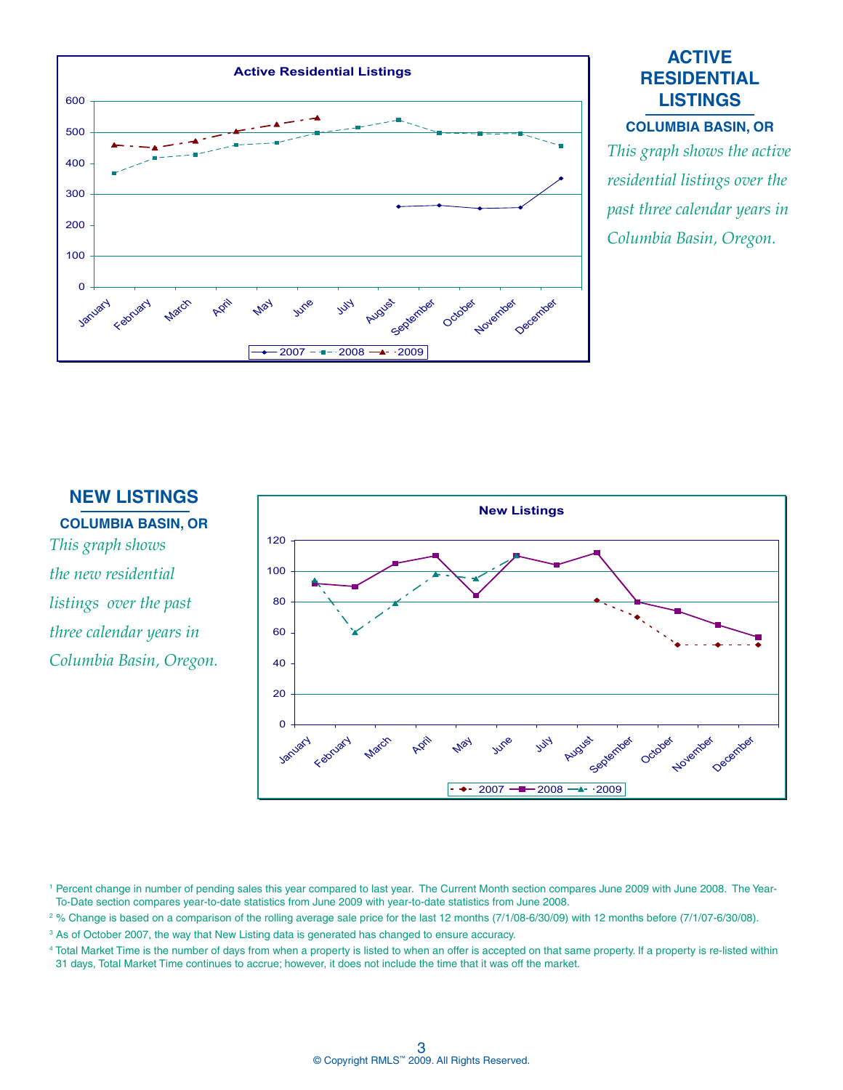

## **ACTIVE RESIDENTIAL LISTINGS**

#### **COLUMBIA BASIN, OR**

*This graph shows the active residential listings over the past three calendar years in Columbia Basin, Oregon.*

#### **NEW LISTINGS**

**COLUMBIA BASIN, OR** *This graph shows the new residential listings over the past three calendar years in Columbia Basin, Oregon.*



<sup>1</sup> Percent change in number of pending sales this year compared to last year. The Current Month section compares June 2009 with June 2008. The Year-To-Date section compares year-to-date statistics from June 2009 with year-to-date statistics from June 2008.

2 % Change is based on a comparison of the rolling average sale price for the last 12 months (7/1/08-6/30/09) with 12 months before (7/1/07-6/30/08).

<sup>3</sup> As of October 2007, the way that New Listing data is generated has changed to ensure accuracy.

4 Total Market Time is the number of days from when a property is listed to when an offer is accepted on that same property. If a property is re-listed within 31 days, Total Market Time continues to accrue; however, it does not include the time that it was off the market.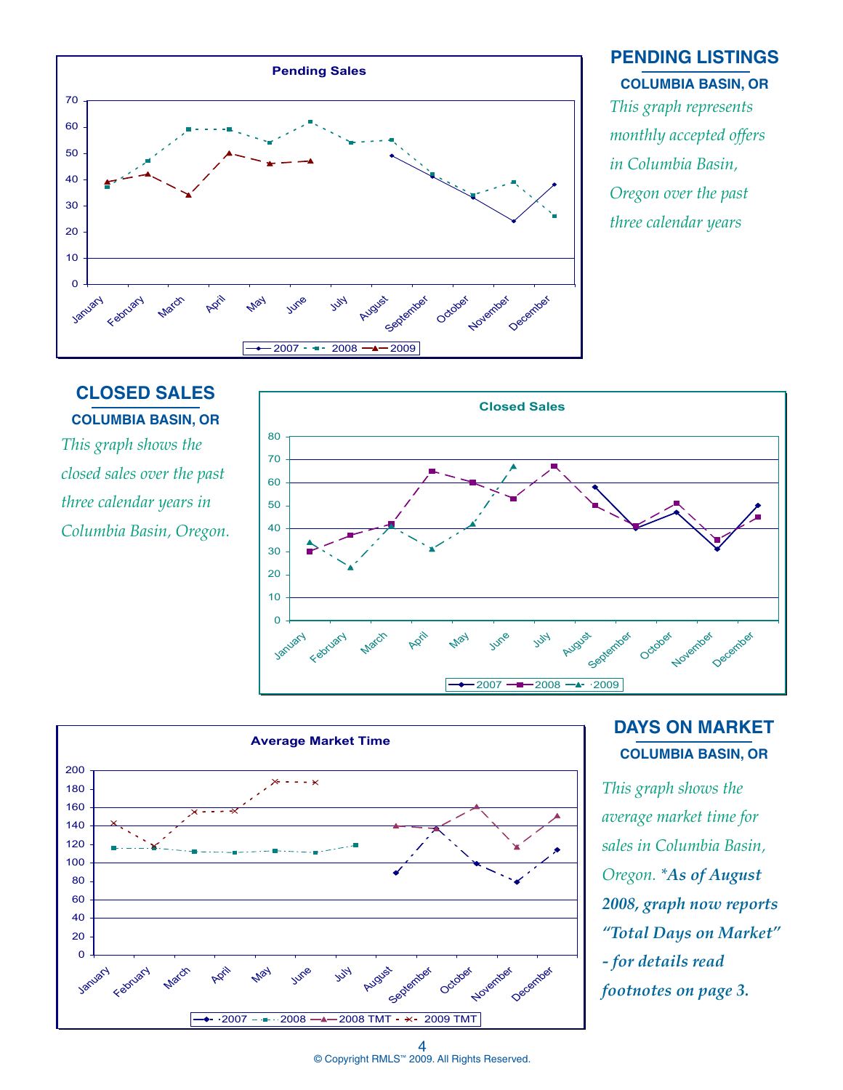

# **PENDING LISTINGS COLUMBIA BASIN, OR**

*This graph represents monthly accepted offers in Columbia Basin, Oregon over the past three calendar years*

# **CLOSED SALES COLUMBIA BASIN, OR**

*This graph shows the closed sales over the past three calendar years in Columbia Basin, Oregon.*





# **DAYS ON MARKET COLUMBIA BASIN, OR**

*This graph shows the average market time for sales in Columbia Basin, Oregon. \*As of August 2008, graph now reports "Total Days on Market" - for details read footnotes on page 3.* 

© Copyright RMLS™ 2009. All Rights Reserved. 4